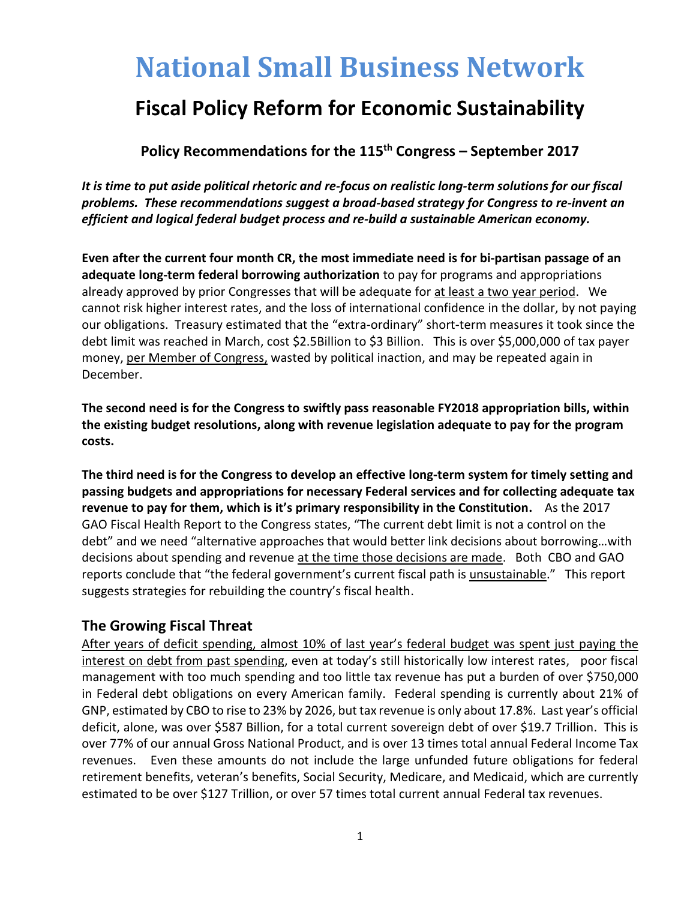# **National Small Business Network**

# **Fiscal Policy Reform for Economic Sustainability**

**Policy Recommendations for the 115th Congress – September 2017**

*It is time to put aside political rhetoric and re-focus on realistic long-term solutions for our fiscal problems. These recommendations suggest a broad-based strategy for Congress to re-invent an efficient and logical federal budget process and re-build a sustainable American economy.*

**Even after the current four month CR, the most immediate need is for bi-partisan passage of an adequate long-term federal borrowing authorization** to pay for programs and appropriations already approved by prior Congresses that will be adequate for at least a two year period. We cannot risk higher interest rates, and the loss of international confidence in the dollar, by not paying our obligations. Treasury estimated that the "extra-ordinary" short-term measures it took since the debt limit was reached in March, cost \$2.5Billion to \$3 Billion. This is over \$5,000,000 of tax payer money, per Member of Congress, wasted by political inaction, and may be repeated again in December.

**The second need is for the Congress to swiftly pass reasonable FY2018 appropriation bills, within the existing budget resolutions, along with revenue legislation adequate to pay for the program costs.**

**The third need is for the Congress to develop an effective long-term system for timely setting and passing budgets and appropriations for necessary Federal services and for collecting adequate tax revenue to pay for them, which is it's primary responsibility in the Constitution.** As the 2017 GAO Fiscal Health Report to the Congress states, "The current debt limit is not a control on the debt" and we need "alternative approaches that would better link decisions about borrowing…with decisions about spending and revenue at the time those decisions are made. Both CBO and GAO reports conclude that "the federal government's current fiscal path is unsustainable." This report suggests strategies for rebuilding the country's fiscal health.

#### **The Growing Fiscal Threat**

After years of deficit spending, almost 10% of last year's federal budget was spent just paying the interest on debt from past spending, even at today's still historically low interest rates, poor fiscal management with too much spending and too little tax revenue has put a burden of over \$750,000 in Federal debt obligations on every American family. Federal spending is currently about 21% of GNP, estimated by CBO to rise to 23% by 2026, but tax revenue is only about 17.8%. Last year's official deficit, alone, was over \$587 Billion, for a total current sovereign debt of over \$19.7 Trillion. This is over 77% of our annual Gross National Product, and is over 13 times total annual Federal Income Tax revenues. Even these amounts do not include the large unfunded future obligations for federal retirement benefits, veteran's benefits, Social Security, Medicare, and Medicaid, which are currently estimated to be over \$127 Trillion, or over 57 times total current annual Federal tax revenues.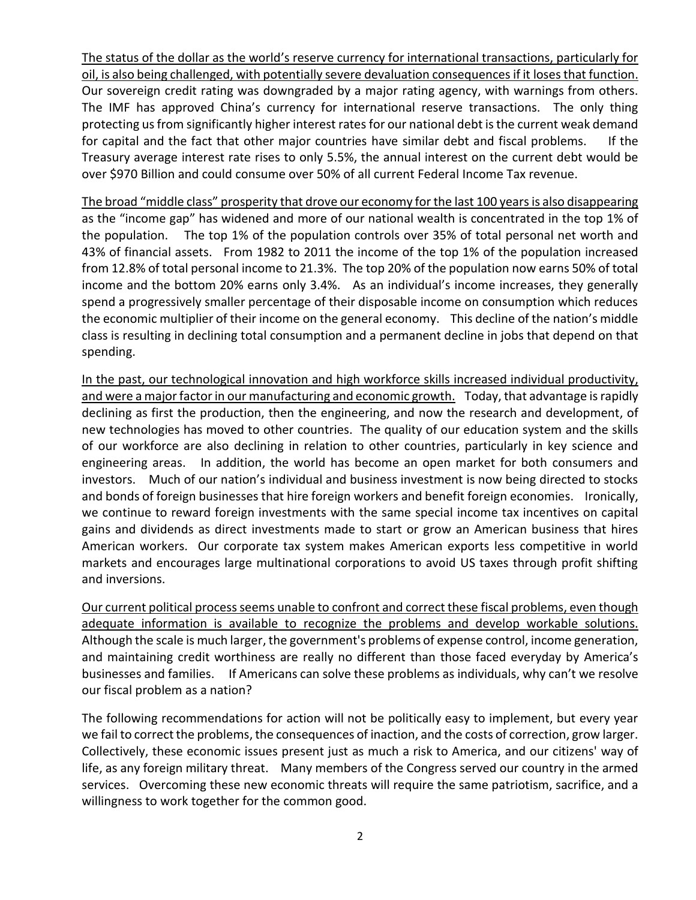The status of the dollar as the world's reserve currency for international transactions, particularly for oil, is also being challenged, with potentially severe devaluation consequences if it loses that function. Our sovereign credit rating was downgraded by a major rating agency, with warnings from others. The IMF has approved China's currency for international reserve transactions. The only thing protecting us from significantly higher interest rates for our national debt is the current weak demand for capital and the fact that other major countries have similar debt and fiscal problems. If the Treasury average interest rate rises to only 5.5%, the annual interest on the current debt would be over \$970 Billion and could consume over 50% of all current Federal Income Tax revenue.

The broad "middle class" prosperity that drove our economy for the last 100 years is also disappearing as the "income gap" has widened and more of our national wealth is concentrated in the top 1% of the population. The top 1% of the population controls over 35% of total personal net worth and 43% of financial assets. From 1982 to 2011 the income of the top 1% of the population increased from 12.8% of total personal income to 21.3%. The top 20% of the population now earns 50% of total income and the bottom 20% earns only 3.4%. As an individual's income increases, they generally spend a progressively smaller percentage of their disposable income on consumption which reduces the economic multiplier of their income on the general economy. This decline of the nation's middle class is resulting in declining total consumption and a permanent decline in jobs that depend on that spending.

In the past, our technological innovation and high workforce skills increased individual productivity, and were a major factor in our manufacturing and economic growth. Today, that advantage is rapidly declining as first the production, then the engineering, and now the research and development, of new technologies has moved to other countries. The quality of our education system and the skills of our workforce are also declining in relation to other countries, particularly in key science and engineering areas. In addition, the world has become an open market for both consumers and investors. Much of our nation's individual and business investment is now being directed to stocks and bonds of foreign businesses that hire foreign workers and benefit foreign economies. Ironically, we continue to reward foreign investments with the same special income tax incentives on capital gains and dividends as direct investments made to start or grow an American business that hires American workers. Our corporate tax system makes American exports less competitive in world markets and encourages large multinational corporations to avoid US taxes through profit shifting and inversions.

Our current political process seems unable to confront and correct these fiscal problems, even though adequate information is available to recognize the problems and develop workable solutions. Although the scale is much larger, the government's problems of expense control, income generation, and maintaining credit worthiness are really no different than those faced everyday by America's businesses and families. If Americans can solve these problems as individuals, why can't we resolve our fiscal problem as a nation?

The following recommendations for action will not be politically easy to implement, but every year we fail to correct the problems, the consequences of inaction, and the costs of correction, grow larger. Collectively, these economic issues present just as much a risk to America, and our citizens' way of life, as any foreign military threat. Many members of the Congress served our country in the armed services. Overcoming these new economic threats will require the same patriotism, sacrifice, and a willingness to work together for the common good.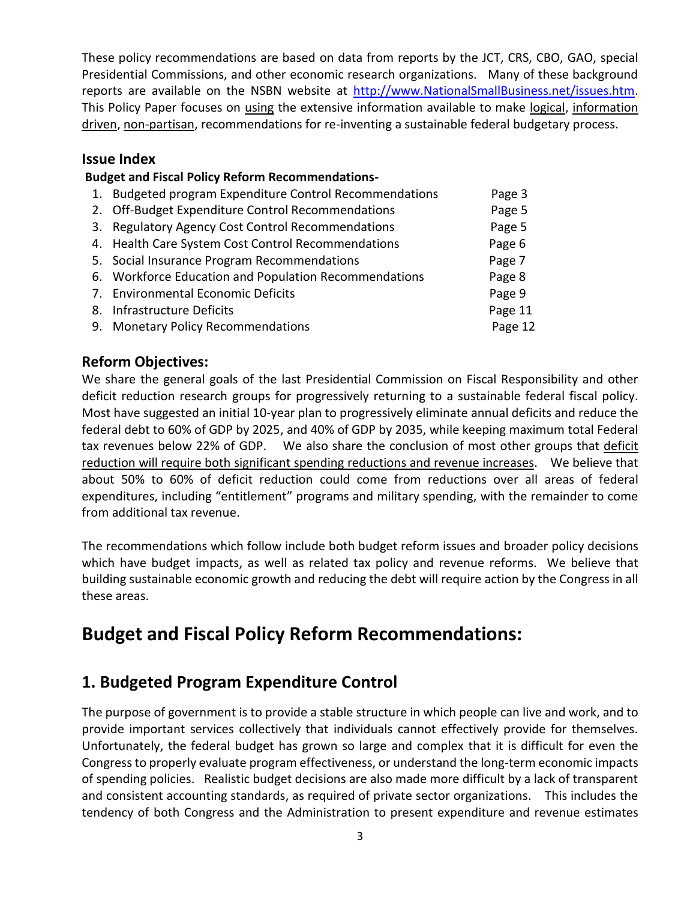These policy recommendations are based on data from reports by the JCT, CRS, CBO, GAO, special Presidential Commissions, and other economic research organizations. Many of these background reports are available on the NSBN website at [http://www.NationalSmallBusiness.net/issues.htm.](http://www.nationalsmallbusiness.net/issues.htm) This Policy Paper focuses on using the extensive information available to make logical, information driven, non-partisan, recommendations for re-inventing a sustainable federal budgetary process.

#### **Issue Index**

#### **Budget and Fiscal Policy Reform Recommendations-**

| 1. Budgeted program Expenditure Control Recommendations | Page 3  |
|---------------------------------------------------------|---------|
| 2. Off-Budget Expenditure Control Recommendations       | Page 5  |
| 3. Regulatory Agency Cost Control Recommendations       | Page 5  |
| 4. Health Care System Cost Control Recommendations      | Page 6  |
| 5. Social Insurance Program Recommendations             | Page 7  |
| 6. Workforce Education and Population Recommendations   | Page 8  |
| 7. Environmental Economic Deficits                      | Page 9  |
| 8. Infrastructure Deficits                              | Page 11 |
| 9. Monetary Policy Recommendations                      | Page 12 |
|                                                         |         |

#### **Reform Objectives:**

We share the general goals of the last Presidential Commission on Fiscal Responsibility and other deficit reduction research groups for progressively returning to a sustainable federal fiscal policy. Most have suggested an initial 10-year plan to progressively eliminate annual deficits and reduce the federal debt to 60% of GDP by 2025, and 40% of GDP by 2035, while keeping maximum total Federal tax revenues below 22% of GDP. We also share the conclusion of most other groups that deficit reduction will require both significant spending reductions and revenue increases. We believe that about 50% to 60% of deficit reduction could come from reductions over all areas of federal expenditures, including "entitlement" programs and military spending, with the remainder to come from additional tax revenue.

The recommendations which follow include both budget reform issues and broader policy decisions which have budget impacts, as well as related tax policy and revenue reforms. We believe that building sustainable economic growth and reducing the debt will require action by the Congress in all these areas.

## **Budget and Fiscal Policy Reform Recommendations:**

## **1. Budgeted Program Expenditure Control**

The purpose of government is to provide a stable structure in which people can live and work, and to provide important services collectively that individuals cannot effectively provide for themselves. Unfortunately, the federal budget has grown so large and complex that it is difficult for even the Congressto properly evaluate program effectiveness, or understand the long-term economic impacts of spending policies. Realistic budget decisions are also made more difficult by a lack of transparent and consistent accounting standards, as required of private sector organizations. This includes the tendency of both Congress and the Administration to present expenditure and revenue estimates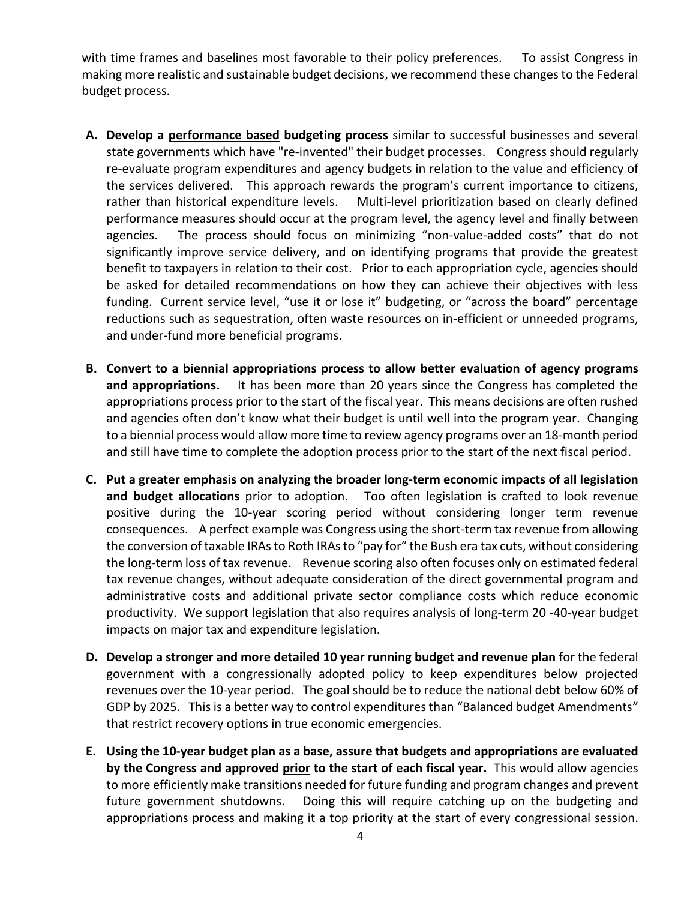with time frames and baselines most favorable to their policy preferences. To assist Congress in making more realistic and sustainable budget decisions, we recommend these changesto the Federal budget process.

- **A. Develop a performance based budgeting process** similar to successful businesses and several state governments which have "re-invented" their budget processes. Congress should regularly re-evaluate program expenditures and agency budgets in relation to the value and efficiency of the services delivered. This approach rewards the program's current importance to citizens, rather than historical expenditure levels. Multi-level prioritization based on clearly defined performance measures should occur at the program level, the agency level and finally between agencies. The process should focus on minimizing "non-value-added costs" that do not significantly improve service delivery, and on identifying programs that provide the greatest benefit to taxpayers in relation to their cost. Prior to each appropriation cycle, agencies should be asked for detailed recommendations on how they can achieve their objectives with less funding. Current service level, "use it or lose it" budgeting, or "across the board" percentage reductions such as sequestration, often waste resources on in-efficient or unneeded programs, and under-fund more beneficial programs.
- **B. Convert to a biennial appropriations process to allow better evaluation of agency programs and appropriations.** It has been more than 20 years since the Congress has completed the appropriations process prior to the start of the fiscal year. This means decisions are often rushed and agencies often don't know what their budget is until well into the program year. Changing to a biennial process would allow more time to review agency programs over an 18-month period and still have time to complete the adoption process prior to the start of the next fiscal period.
- **C. Put a greater emphasis on analyzing the broader long-term economic impacts of all legislation and budget allocations** prior to adoption. Too often legislation is crafted to look revenue positive during the 10-year scoring period without considering longer term revenue consequences. A perfect example was Congress using the short-term tax revenue from allowing the conversion of taxable IRAs to Roth IRAs to "pay for" the Bush era tax cuts, without considering the long-term loss of tax revenue. Revenue scoring also often focuses only on estimated federal tax revenue changes, without adequate consideration of the direct governmental program and administrative costs and additional private sector compliance costs which reduce economic productivity. We support legislation that also requires analysis of long-term 20 -40-year budget impacts on major tax and expenditure legislation.
- **D. Develop a stronger and more detailed 10 year running budget and revenue plan** for the federal government with a congressionally adopted policy to keep expenditures below projected revenues over the 10-year period. The goal should be to reduce the national debt below 60% of GDP by 2025. This is a better way to control expenditures than "Balanced budget Amendments" that restrict recovery options in true economic emergencies.
- **E. Using the 10-year budget plan as a base, assure that budgets and appropriations are evaluated by the Congress and approved prior to the start of each fiscal year.** This would allow agencies to more efficiently make transitions needed for future funding and program changes and prevent future government shutdowns. Doing this will require catching up on the budgeting and appropriations process and making it a top priority at the start of every congressional session.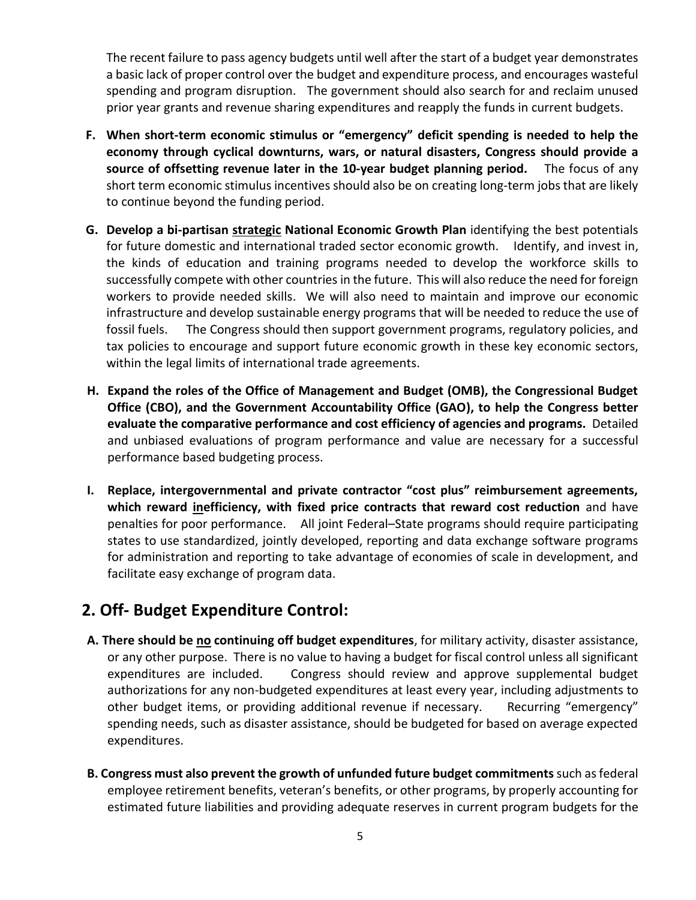The recent failure to pass agency budgets until well after the start of a budget year demonstrates a basic lack of proper control over the budget and expenditure process, and encourages wasteful spending and program disruption. The government should also search for and reclaim unused prior year grants and revenue sharing expenditures and reapply the funds in current budgets.

- **F. When short-term economic stimulus or "emergency" deficit spending is needed to help the economy through cyclical downturns, wars, or natural disasters, Congress should provide a source of offsetting revenue later in the 10-year budget planning period.** The focus of any short term economic stimulus incentives should also be on creating long-term jobs that are likely to continue beyond the funding period.
- **G. Develop a bi-partisan strategic National Economic Growth Plan** identifying the best potentials for future domestic and international traded sector economic growth. Identify, and invest in, the kinds of education and training programs needed to develop the workforce skills to successfully compete with other countries in the future. This will also reduce the need for foreign workers to provide needed skills. We will also need to maintain and improve our economic infrastructure and develop sustainable energy programs that will be needed to reduce the use of fossil fuels. The Congress should then support government programs, regulatory policies, and tax policies to encourage and support future economic growth in these key economic sectors, within the legal limits of international trade agreements.
- **H. Expand the roles of the Office of Management and Budget (OMB), the Congressional Budget Office (CBO), and the Government Accountability Office (GAO), to help the Congress better evaluate the comparative performance and cost efficiency of agencies and programs.** Detailed and unbiased evaluations of program performance and value are necessary for a successful performance based budgeting process.
- **I. Replace, intergovernmental and private contractor "cost plus" reimbursement agreements, which reward inefficiency, with fixed price contracts that reward cost reduction** and have penalties for poor performance. All joint Federal–State programs should require participating states to use standardized, jointly developed, reporting and data exchange software programs for administration and reporting to take advantage of economies of scale in development, and facilitate easy exchange of program data.

## **2. Off- Budget Expenditure Control:**

- **A. There should be no continuing off budget expenditures**, for military activity, disaster assistance, or any other purpose. There is no value to having a budget for fiscal control unless all significant expenditures are included. Congress should review and approve supplemental budget authorizations for any non-budgeted expenditures at least every year, including adjustments to other budget items, or providing additional revenue if necessary. Recurring "emergency" spending needs, such as disaster assistance, should be budgeted for based on average expected expenditures.
- **B. Congress must also prevent the growth of unfunded future budget commitments**such as federal employee retirement benefits, veteran's benefits, or other programs, by properly accounting for estimated future liabilities and providing adequate reserves in current program budgets for the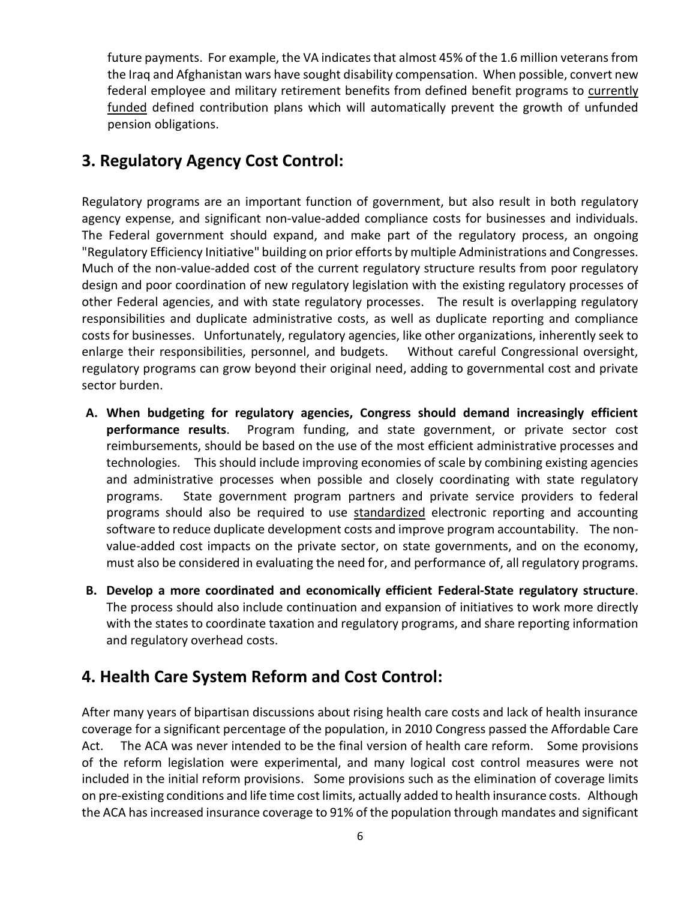future payments. For example, the VA indicates that almost 45% of the 1.6 million veterans from the Iraq and Afghanistan wars have sought disability compensation. When possible, convert new federal employee and military retirement benefits from defined benefit programs to currently funded defined contribution plans which will automatically prevent the growth of unfunded pension obligations.

## **3. Regulatory Agency Cost Control:**

Regulatory programs are an important function of government, but also result in both regulatory agency expense, and significant non-value-added compliance costs for businesses and individuals. The Federal government should expand, and make part of the regulatory process, an ongoing "Regulatory Efficiency Initiative" building on prior efforts by multiple Administrations and Congresses. Much of the non-value-added cost of the current regulatory structure results from poor regulatory design and poor coordination of new regulatory legislation with the existing regulatory processes of other Federal agencies, and with state regulatory processes. The result is overlapping regulatory responsibilities and duplicate administrative costs, as well as duplicate reporting and compliance costs for businesses. Unfortunately, regulatory agencies, like other organizations, inherently seek to enlarge their responsibilities, personnel, and budgets. Without careful Congressional oversight, regulatory programs can grow beyond their original need, adding to governmental cost and private sector burden.

- **A. When budgeting for regulatory agencies, Congress should demand increasingly efficient performance results**. Program funding, and state government, or private sector cost reimbursements, should be based on the use of the most efficient administrative processes and technologies. This should include improving economies of scale by combining existing agencies and administrative processes when possible and closely coordinating with state regulatory programs. State government program partners and private service providers to federal programs should also be required to use standardized electronic reporting and accounting software to reduce duplicate development costs and improve program accountability. The nonvalue-added cost impacts on the private sector, on state governments, and on the economy, must also be considered in evaluating the need for, and performance of, all regulatory programs.
- **B. Develop a more coordinated and economically efficient Federal-State regulatory structure**. The process should also include continuation and expansion of initiatives to work more directly with the states to coordinate taxation and regulatory programs, and share reporting information and regulatory overhead costs.

## **4. Health Care System Reform and Cost Control:**

After many years of bipartisan discussions about rising health care costs and lack of health insurance coverage for a significant percentage of the population, in 2010 Congress passed the Affordable Care Act. The ACA was never intended to be the final version of health care reform. Some provisions of the reform legislation were experimental, and many logical cost control measures were not included in the initial reform provisions. Some provisions such as the elimination of coverage limits on pre-existing conditions and life time cost limits, actually added to health insurance costs. Although the ACA hasincreased insurance coverage to 91% of the population through mandates and significant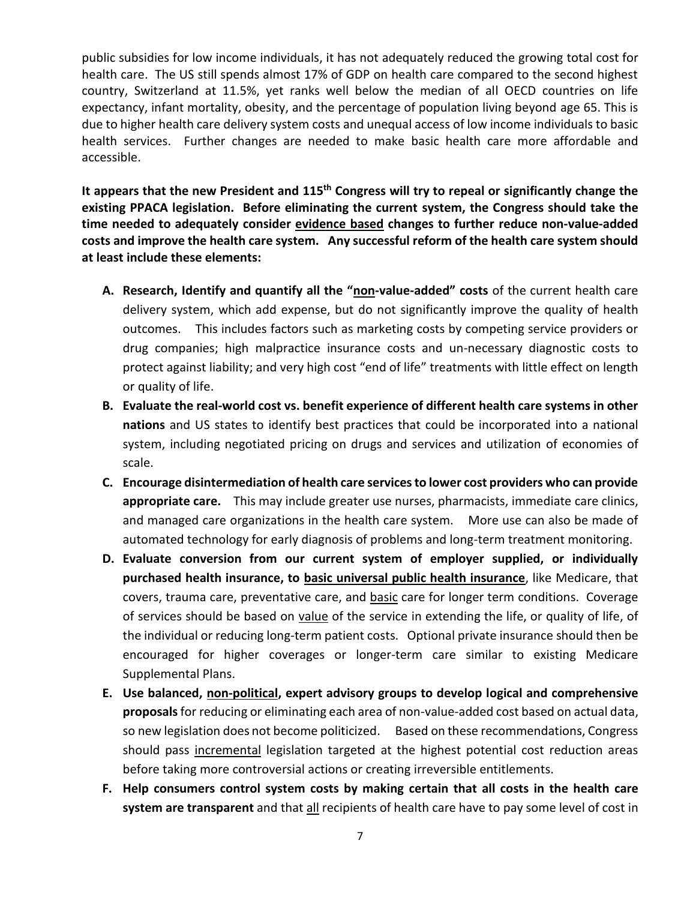public subsidies for low income individuals, it has not adequately reduced the growing total cost for health care. The US still spends almost 17% of GDP on health care compared to the second highest country, Switzerland at 11.5%, yet ranks well below the median of all OECD countries on life expectancy, infant mortality, obesity, and the percentage of population living beyond age 65. This is due to higher health care delivery system costs and unequal access of low income individuals to basic health services. Further changes are needed to make basic health care more affordable and accessible.

**It appears that the new President and 115th Congress will try to repeal or significantly change the existing PPACA legislation. Before eliminating the current system, the Congress should take the time needed to adequately consider evidence based changes to further reduce non-value-added costs and improve the health care system. Any successful reform of the health care system should at least include these elements:**

- **A. Research, Identify and quantify all the "non-value-added" costs** of the current health care delivery system, which add expense, but do not significantly improve the quality of health outcomes. This includes factors such as marketing costs by competing service providers or drug companies; high malpractice insurance costs and un-necessary diagnostic costs to protect against liability; and very high cost "end of life" treatments with little effect on length or quality of life.
- **B. Evaluate the real-world cost vs. benefit experience of different health care systems in other nations** and US states to identify best practices that could be incorporated into a national system, including negotiated pricing on drugs and services and utilization of economies of scale.
- **C. Encourage disintermediation of health care services to lower cost providers who can provide appropriate care.** This may include greater use nurses, pharmacists, immediate care clinics, and managed care organizations in the health care system. More use can also be made of automated technology for early diagnosis of problems and long-term treatment monitoring.
- **D. Evaluate conversion from our current system of employer supplied, or individually purchased health insurance, to basic universal public health insurance**, like Medicare, that covers, trauma care, preventative care, and **basic care for longer term conditions.** Coverage of services should be based on value of the service in extending the life, or quality of life, of the individual or reducing long-term patient costs. Optional private insurance should then be encouraged for higher coverages or longer-term care similar to existing Medicare Supplemental Plans.
- **E. Use balanced, non-political, expert advisory groups to develop logical and comprehensive proposals**for reducing or eliminating each area of non-value-added cost based on actual data, so new legislation does not become politicized. Based on these recommendations, Congress should pass incremental legislation targeted at the highest potential cost reduction areas before taking more controversial actions or creating irreversible entitlements.
- **F. Help consumers control system costs by making certain that all costs in the health care system are transparent** and that all recipients of health care have to pay some level of cost in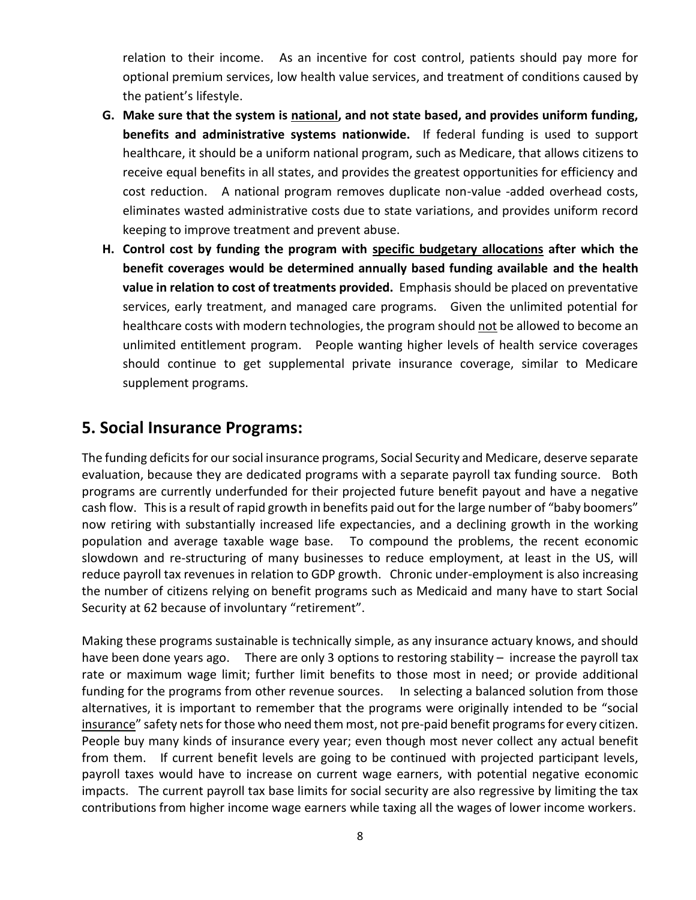relation to their income. As an incentive for cost control, patients should pay more for optional premium services, low health value services, and treatment of conditions caused by the patient's lifestyle.

- **G. Make sure that the system is national, and not state based, and provides uniform funding, benefits and administrative systems nationwide.** If federal funding is used to support healthcare, it should be a uniform national program, such as Medicare, that allows citizens to receive equal benefits in all states, and provides the greatest opportunities for efficiency and cost reduction. A national program removes duplicate non-value -added overhead costs, eliminates wasted administrative costs due to state variations, and provides uniform record keeping to improve treatment and prevent abuse.
- **H. Control cost by funding the program with specific budgetary allocations after which the benefit coverages would be determined annually based funding available and the health value in relation to cost of treatments provided.** Emphasis should be placed on preventative services, early treatment, and managed care programs. Given the unlimited potential for healthcare costs with modern technologies, the program should not be allowed to become an unlimited entitlement program. People wanting higher levels of health service coverages should continue to get supplemental private insurance coverage, similar to Medicare supplement programs.

#### **5. Social Insurance Programs:**

The funding deficits for our social insurance programs, Social Security and Medicare, deserve separate evaluation, because they are dedicated programs with a separate payroll tax funding source. Both programs are currently underfunded for their projected future benefit payout and have a negative cash flow. This is a result of rapid growth in benefits paid out for the large number of "baby boomers" now retiring with substantially increased life expectancies, and a declining growth in the working population and average taxable wage base. To compound the problems, the recent economic slowdown and re-structuring of many businesses to reduce employment, at least in the US, will reduce payroll tax revenues in relation to GDP growth. Chronic under-employment is also increasing the number of citizens relying on benefit programs such as Medicaid and many have to start Social Security at 62 because of involuntary "retirement".

Making these programs sustainable is technically simple, as any insurance actuary knows, and should have been done years ago. There are only 3 options to restoring stability - increase the payroll tax rate or maximum wage limit; further limit benefits to those most in need; or provide additional funding for the programs from other revenue sources. In selecting a balanced solution from those alternatives, it is important to remember that the programs were originally intended to be "social insurance" safety nets for those who need them most, not pre-paid benefit programs for every citizen. People buy many kinds of insurance every year; even though most never collect any actual benefit from them. If current benefit levels are going to be continued with projected participant levels, payroll taxes would have to increase on current wage earners, with potential negative economic impacts. The current payroll tax base limits for social security are also regressive by limiting the tax contributions from higher income wage earners while taxing all the wages of lower income workers.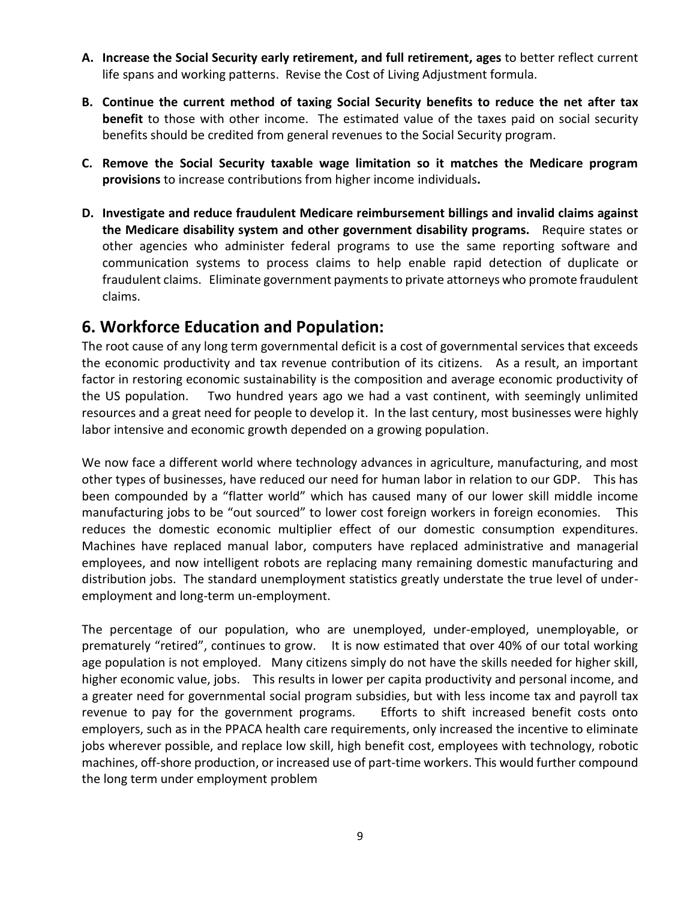- **A. Increase the Social Security early retirement, and full retirement, ages** to better reflect current life spans and working patterns. Revise the Cost of Living Adjustment formula.
- **B. Continue the current method of taxing Social Security benefits to reduce the net after tax benefit** to those with other income. The estimated value of the taxes paid on social security benefits should be credited from general revenues to the Social Security program.
- **C. Remove the Social Security taxable wage limitation so it matches the Medicare program provisions** to increase contributions from higher income individuals**.**
- **D. Investigate and reduce fraudulent Medicare reimbursement billings and invalid claims against the Medicare disability system and other government disability programs.** Require states or other agencies who administer federal programs to use the same reporting software and communication systems to process claims to help enable rapid detection of duplicate or fraudulent claims. Eliminate government payments to private attorneys who promote fraudulent claims.

## **6. Workforce Education and Population:**

The root cause of any long term governmental deficit is a cost of governmental services that exceeds the economic productivity and tax revenue contribution of its citizens. As a result, an important factor in restoring economic sustainability is the composition and average economic productivity of the US population. Two hundred years ago we had a vast continent, with seemingly unlimited resources and a great need for people to develop it. In the last century, most businesses were highly labor intensive and economic growth depended on a growing population.

We now face a different world where technology advances in agriculture, manufacturing, and most other types of businesses, have reduced our need for human labor in relation to our GDP. This has been compounded by a "flatter world" which has caused many of our lower skill middle income manufacturing jobs to be "out sourced" to lower cost foreign workers in foreign economies. This reduces the domestic economic multiplier effect of our domestic consumption expenditures. Machines have replaced manual labor, computers have replaced administrative and managerial employees, and now intelligent robots are replacing many remaining domestic manufacturing and distribution jobs. The standard unemployment statistics greatly understate the true level of underemployment and long-term un-employment.

The percentage of our population, who are unemployed, under-employed, unemployable, or prematurely "retired", continues to grow. It is now estimated that over 40% of our total working age population is not employed. Many citizens simply do not have the skills needed for higher skill, higher economic value, jobs. This results in lower per capita productivity and personal income, and a greater need for governmental social program subsidies, but with less income tax and payroll tax revenue to pay for the government programs. Efforts to shift increased benefit costs onto employers, such as in the PPACA health care requirements, only increased the incentive to eliminate jobs wherever possible, and replace low skill, high benefit cost, employees with technology, robotic machines, off-shore production, or increased use of part-time workers. This would further compound the long term under employment problem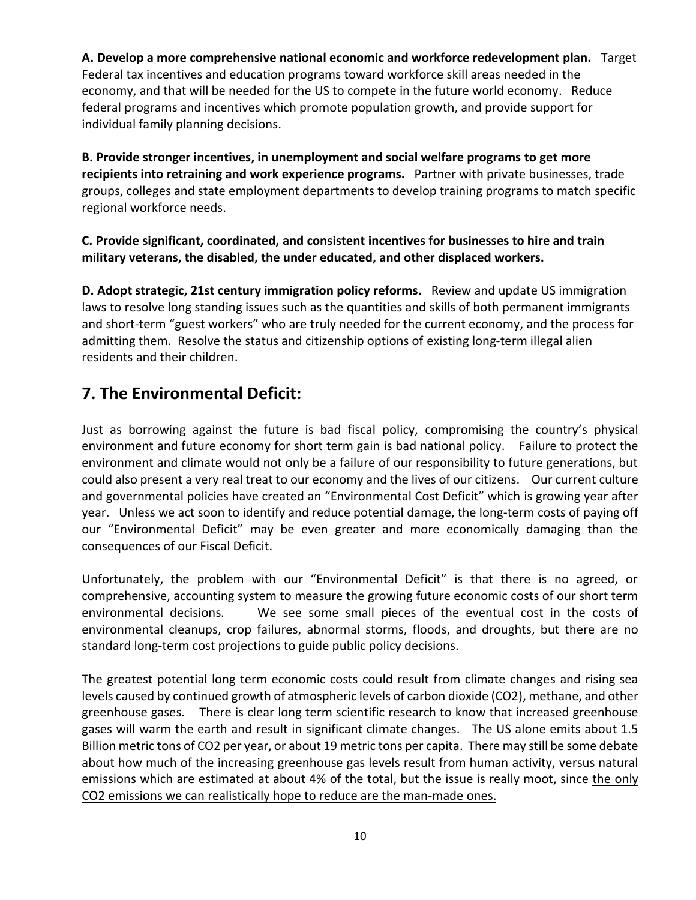**A. Develop a more comprehensive national economic and workforce redevelopment plan.** Target Federal tax incentives and education programs toward workforce skill areas needed in the economy, and that will be needed for the US to compete in the future world economy. Reduce federal programs and incentives which promote population growth, and provide support for individual family planning decisions.

**B. Provide stronger incentives, in unemployment and social welfare programs to get more recipients into retraining and work experience programs.** Partner with private businesses, trade groups, colleges and state employment departments to develop training programs to match specific regional workforce needs.

#### **C. Provide significant, coordinated, and consistent incentives for businesses to hire and train military veterans, the disabled, the under educated, and other displaced workers.**

**D. Adopt strategic, 21st century immigration policy reforms.** Review and update US immigration laws to resolve long standing issues such as the quantities and skills of both permanent immigrants and short-term "guest workers" who are truly needed for the current economy, and the process for admitting them. Resolve the status and citizenship options of existing long-term illegal alien residents and their children.

## **7. The Environmental Deficit:**

Just as borrowing against the future is bad fiscal policy, compromising the country's physical environment and future economy for short term gain is bad national policy. Failure to protect the environment and climate would not only be a failure of our responsibility to future generations, but could also present a very real treat to our economy and the lives of our citizens. Our current culture and governmental policies have created an "Environmental Cost Deficit" which is growing year after year. Unless we act soon to identify and reduce potential damage, the long-term costs of paying off our "Environmental Deficit" may be even greater and more economically damaging than the consequences of our Fiscal Deficit.

Unfortunately, the problem with our "Environmental Deficit" is that there is no agreed, or comprehensive, accounting system to measure the growing future economic costs of our short term environmental decisions. We see some small pieces of the eventual cost in the costs of environmental cleanups, crop failures, abnormal storms, floods, and droughts, but there are no standard long-term cost projections to guide public policy decisions.

The greatest potential long term economic costs could result from climate changes and rising sea levels caused by continued growth of atmospheric levels of carbon dioxide (CO2), methane, and other greenhouse gases.There is clear long term scientific research to know that increased greenhouse gases will warm the earth and result in significant climate changes. The US alone emits about 1.5 Billion metric tons of CO2 per year, or about 19 metric tons per capita. There may still be some debate about how much of the increasing greenhouse gas levels result from human activity, versus natural emissions which are estimated at about 4% of the total, but the issue is really moot, since the only CO2 emissions we can realistically hope to reduce are the man-made ones.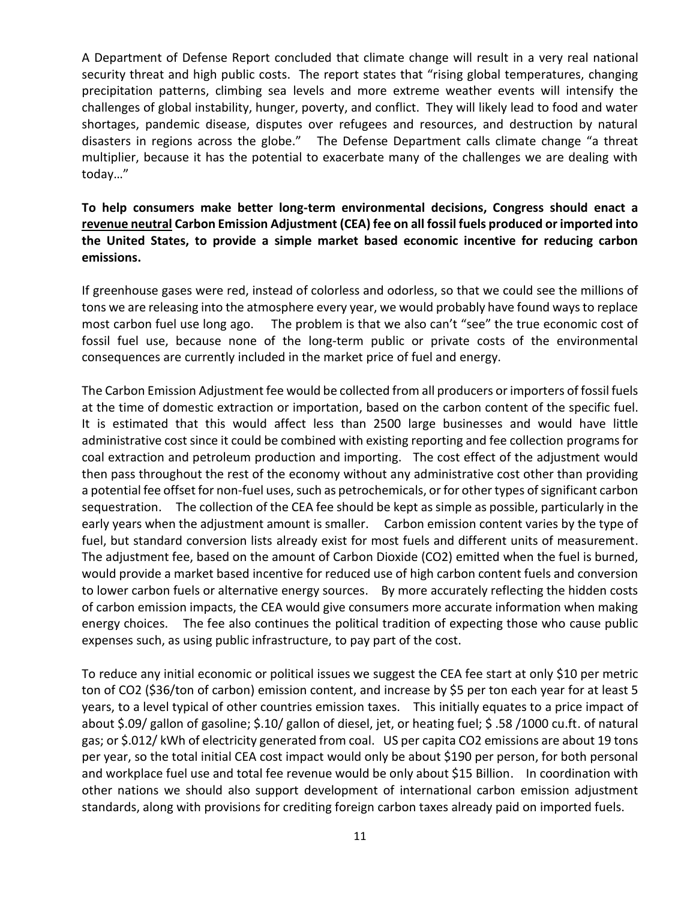A Department of Defense Report concluded that climate change will result in a very real national security threat and high public costs. The report states that "rising global temperatures, changing precipitation patterns, climbing sea levels and more extreme weather events will intensify the challenges of global instability, hunger, poverty, and conflict. They will likely lead to food and water shortages, pandemic disease, disputes over refugees and resources, and destruction by natural disasters in regions across the globe." The Defense Department calls climate change "a threat multiplier, because it has the potential to exacerbate many of the challenges we are dealing with today…"

#### **To help consumers make better long-term environmental decisions, Congress should enact a revenue neutral Carbon Emission Adjustment (CEA) fee on all fossil fuels produced or imported into the United States, to provide a simple market based economic incentive for reducing carbon emissions.**

If greenhouse gases were red, instead of colorless and odorless, so that we could see the millions of tons we are releasing into the atmosphere every year, we would probably have found ways to replace most carbon fuel use long ago. The problem is that we also can't "see" the true economic cost of fossil fuel use, because none of the long-term public or private costs of the environmental consequences are currently included in the market price of fuel and energy.

The Carbon Emission Adjustment fee would be collected from all producers or importers of fossil fuels at the time of domestic extraction or importation, based on the carbon content of the specific fuel. It is estimated that this would affect less than 2500 large businesses and would have little administrative cost since it could be combined with existing reporting and fee collection programs for coal extraction and petroleum production and importing. The cost effect of the adjustment would then pass throughout the rest of the economy without any administrative cost other than providing a potential fee offset for non-fuel uses, such as petrochemicals, or for other types of significant carbon sequestration. The collection of the CEA fee should be kept as simple as possible, particularly in the early years when the adjustment amount is smaller. Carbon emission content varies by the type of fuel, but standard conversion lists already exist for most fuels and different units of measurement. The adjustment fee, based on the amount of Carbon Dioxide (CO2) emitted when the fuel is burned, would provide a market based incentive for reduced use of high carbon content fuels and conversion to lower carbon fuels or alternative energy sources. By more accurately reflecting the hidden costs of carbon emission impacts, the CEA would give consumers more accurate information when making energy choices. The fee also continues the political tradition of expecting those who cause public expenses such, as using public infrastructure, to pay part of the cost.

To reduce any initial economic or political issues we suggest the CEA fee start at only \$10 per metric ton of CO2 (\$36/ton of carbon) emission content, and increase by \$5 per ton each year for at least 5 years, to a level typical of other countries emission taxes. This initially equates to a price impact of about \$.09/ gallon of gasoline; \$.10/ gallon of diesel, jet, or heating fuel; \$ .58 /1000 cu.ft. of natural gas; or \$.012/ kWh of electricity generated from coal. US per capita CO2 emissions are about 19 tons per year, so the total initial CEA cost impact would only be about \$190 per person, for both personal and workplace fuel use and total fee revenue would be only about \$15 Billion. In coordination with other nations we should also support development of international carbon emission adjustment standards, along with provisions for crediting foreign carbon taxes already paid on imported fuels.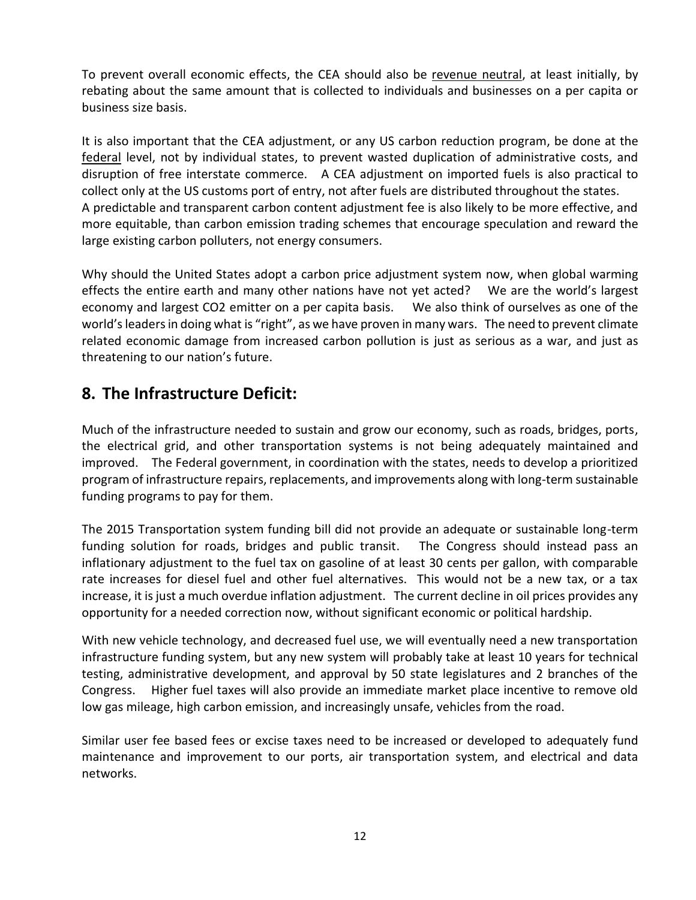To prevent overall economic effects, the CEA should also be revenue neutral, at least initially, by rebating about the same amount that is collected to individuals and businesses on a per capita or business size basis.

It is also important that the CEA adjustment, or any US carbon reduction program, be done at the federal level, not by individual states, to prevent wasted duplication of administrative costs, and disruption of free interstate commerce. A CEA adjustment on imported fuels is also practical to collect only at the US customs port of entry, not after fuels are distributed throughout the states. A predictable and transparent carbon content adjustment fee is also likely to be more effective, and more equitable, than carbon emission trading schemes that encourage speculation and reward the large existing carbon polluters, not energy consumers.

Why should the United States adopt a carbon price adjustment system now, when global warming effects the entire earth and many other nations have not yet acted? We are the world's largest economy and largest CO2 emitter on a per capita basis. We also think of ourselves as one of the world's leaders in doing what is "right", as we have proven in many wars. The need to prevent climate related economic damage from increased carbon pollution is just as serious as a war, and just as threatening to our nation's future.

#### **8. The Infrastructure Deficit:**

Much of the infrastructure needed to sustain and grow our economy, such as roads, bridges, ports, the electrical grid, and other transportation systems is not being adequately maintained and improved. The Federal government, in coordination with the states, needs to develop a prioritized program of infrastructure repairs, replacements, and improvements along with long-term sustainable funding programs to pay for them.

The 2015 Transportation system funding bill did not provide an adequate or sustainable long-term funding solution for roads, bridges and public transit. The Congress should instead pass an inflationary adjustment to the fuel tax on gasoline of at least 30 cents per gallon, with comparable rate increases for diesel fuel and other fuel alternatives. This would not be a new tax, or a tax increase, it is just a much overdue inflation adjustment. The current decline in oil prices provides any opportunity for a needed correction now, without significant economic or political hardship.

With new vehicle technology, and decreased fuel use, we will eventually need a new transportation infrastructure funding system, but any new system will probably take at least 10 years for technical testing, administrative development, and approval by 50 state legislatures and 2 branches of the Congress. Higher fuel taxes will also provide an immediate market place incentive to remove old low gas mileage, high carbon emission, and increasingly unsafe, vehicles from the road.

Similar user fee based fees or excise taxes need to be increased or developed to adequately fund maintenance and improvement to our ports, air transportation system, and electrical and data networks.